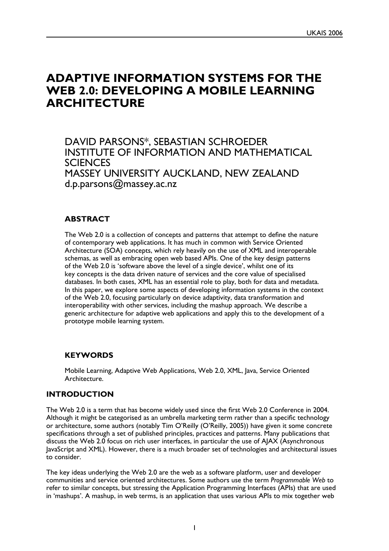# **ADAPTIVE INFORMATION SYSTEMS FOR THE WEB 2.0: DEVELOPING A MOBILE LEARNING ARCHITECTURE**

DAVID PARSONS\*, SEBASTIAN SCHROEDER INSTITUTE OF INFORMATION AND MATHEMATICAL **SCIENCES** MASSEY UNIVERSITY AUCKLAND, NEW ZEALAND d.p.parsons@massey.ac.nz

## **ABSTRACT**

The Web 2.0 is a collection of concepts and patterns that attempt to define the nature of contemporary web applications. It has much in common with Service Oriented Architecture (SOA) concepts, which rely heavily on the use of XML and interoperable schemas, as well as embracing open web based APIs. One of the key design patterns of the Web 2.0 is 'software above the level of a single device', whilst one of its key concepts is the data driven nature of services and the core value of specialised databases. In both cases, XML has an essential role to play, both for data and metadata. In this paper, we explore some aspects of developing information systems in the context of the Web 2.0, focusing particularly on device adaptivity, data transformation and interoperability with other services, including the mashup approach. We describe a generic architecture for adaptive web applications and apply this to the development of a prototype mobile learning system.

## **KEYWORDS**

Mobile Learning, Adaptive Web Applications, Web 2.0, XML, Java, Service Oriented Architecture.

## **INTRODUCTION**

The Web 2.0 is a term that has become widely used since the first Web 2.0 Conference in 2004. Although it might be categorised as an umbrella marketing term rather than a specific technology or architecture, some authors (notably Tim O'Reilly (O'Reilly, 2005)) have given it some concrete specifications through a set of published principles, practices and patterns. Many publications that discuss the Web 2.0 focus on rich user interfaces, in particular the use of AJAX (Asynchronous JavaScript and XML). However, there is a much broader set of technologies and architectural issues to consider.

The key ideas underlying the Web 2.0 are the web as a software platform, user and developer communities and service oriented architectures. Some authors use the term *Programmable Web* to refer to similar concepts, but stressing the Application Programming Interfaces (APIs) that are used in 'mashups'. A mashup, in web terms, is an application that uses various APIs to mix together web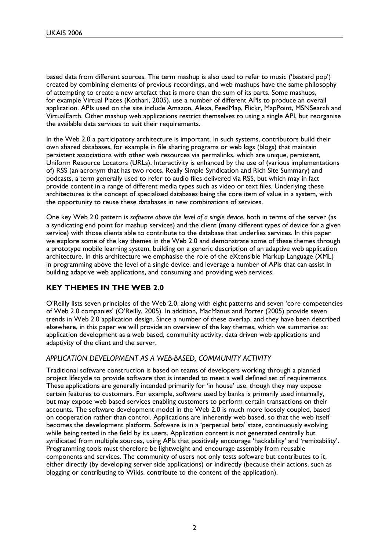based data from different sources. The term mashup is also used to refer to music ('bastard pop') created by combining elements of previous recordings, and web mashups have the same philosophy of attempting to create a new artefact that is more than the sum of its parts. Some mashups, for example Virtual Places (Kothari, 2005), use a number of different APIs to produce an overall application. APIs used on the site include Amazon, Alexa, FeedMap, Flickr, MapPoint, MSNSearch and VirtualEarth. Other mashup web applications restrict themselves to using a single API, but reorganise the available data services to suit their requirements.

In the Web 2.0 a participatory architecture is important. In such systems, contributors build their own shared databases, for example in file sharing programs or web logs (blogs) that maintain persistent associations with other web resources via permalinks, which are unique, persistent, Uniform Resource Locators (URLs). Interactivity is enhanced by the use of (various implementations of) RSS (an acronym that has two roots, Really Simple Syndication and Rich Site Summary) and podcasts, a term generally used to refer to audio files delivered via RSS, but which may in fact provide content in a range of different media types such as video or text files. Underlying these architectures is the concept of specialised databases being the core item of value in a system, with the opportunity to reuse these databases in new combinations of services.

One key Web 2.0 pattern is *software above the level of a single device*, both in terms of the server (as a syndicating end point for mashup services) and the client (many different types of device for a given service) with those clients able to contribute to the database that underlies services. In this paper we explore some of the key themes in the Web 2.0 and demonstrate some of these themes through a prototype mobile learning system, building on a generic description of an adaptive web application architecture. In this architecture we emphasise the role of the eXtensible Markup Language (XML) in programming above the level of a single device, and leverage a number of APIs that can assist in building adaptive web applications, and consuming and providing web services.

# **KEY THEMES IN THE WEB 2.0**

O'Reilly lists seven principles of the Web 2.0, along with eight patterns and seven 'core competencies of Web 2.0 companies' (O'Reilly, 2005). In addition, MacManus and Porter (2005) provide seven trends in Web 2.0 application design. Since a number of these overlap, and they have been described elsewhere, in this paper we will provide an overview of the key themes, which we summarise as: application development as a web based, community activity, data driven web applications and adaptivity of the client and the server.

## *APPLICATION DEVELOPMENT AS A WEB-BASED, COMMUNITY ACTIVITY*

Traditional software construction is based on teams of developers working through a planned project lifecycle to provide software that is intended to meet a well defined set of requirements. These applications are generally intended primarily for 'in house' use, though they may expose certain features to customers. For example, software used by banks is primarily used internally, but may expose web based services enabling customers to perform certain transactions on their accounts. The software development model in the Web 2.0 is much more loosely coupled, based on cooperation rather than control. Applications are inherently web based, so that the web itself becomes the development platform. Software is in a 'perpetual beta' state, continuously evolving while being tested in the field by its users. Application content is not generated centrally but syndicated from multiple sources, using APIs that positively encourage 'hackability' and 'remixability'. Programming tools must therefore be lightweight and encourage assembly from reusable components and services. The community of users not only tests software but contributes to it, either directly (by developing server side applications) or indirectly (because their actions, such as blogging or contributing to Wikis, contribute to the content of the application).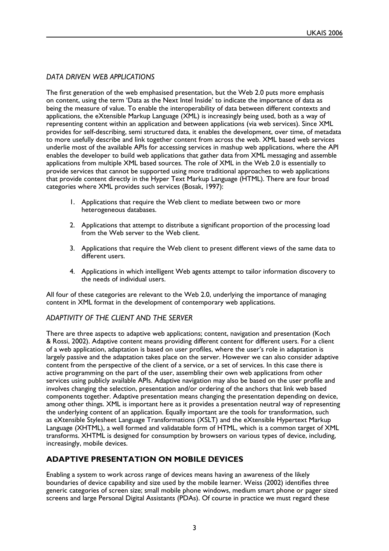# *DATA DRIVEN WEB APPLICATIONS*

The first generation of the web emphasised presentation, but the Web 2.0 puts more emphasis on content, using the term 'Data as the Next Intel Inside' to indicate the importance of data as being the measure of value. To enable the interoperability of data between different contexts and applications, the eXtensible Markup Language (XML) is increasingly being used, both as a way of representing content within an application and between applications (via web services). Since XML provides for self-describing, semi structured data, it enables the development, over time, of metadata to more usefully describe and link together content from across the web. XML based web services underlie most of the available APIs for accessing services in mashup web applications, where the API enables the developer to build web applications that gather data from XML messaging and assemble applications from multiple XML based sources. The role of XML in the Web 2.0 is essentially to provide services that cannot be supported using more traditional approaches to web applications that provide content directly in the Hyper Text Markup Language (HTML). There are four broad categories where XML provides such services (Bosak, 1997):

- Applications that require the Web client to mediate between two or more 1. heterogeneous databases.
- 2. Applications that attempt to distribute a significant proportion of the processing load from the Web server to the Web client.
- Applications that require the Web client to present different views of the same data to 3. different users.
- 4. Applications in which intelligent Web agents attempt to tailor information discovery to the needs of individual users.

All four of these categories are relevant to the Web 2.0, underlying the importance of managing content in XML format in the development of contemporary web applications.

#### *ADAPTIVITY OF THE CLIENT AND THE SERVER*

There are three aspects to adaptive web applications; content, navigation and presentation (Koch & Rossi, 2002). Adaptive content means providing different content for different users. For a client of a web application, adaptation is based on user profiles, where the user's role in adaptation is largely passive and the adaptation takes place on the server. However we can also consider adaptive content from the perspective of the client of a service, or a set of services. In this case there is active programming on the part of the user, assembling their own web applications from other services using publicly available APIs. Adaptive navigation may also be based on the user profile and involves changing the selection, presentation and/or ordering of the anchors that link web based components together. Adaptive presentation means changing the presentation depending on device, among other things. XML is important here as it provides a presentation neutral way of representing the underlying content of an application. Equally important are the tools for transformation, such as eXtensible Stylesheet Language Transformations (XSLT) and the eXtensible Hypertext Markup Language (XHTML), a well formed and validatable form of HTML, which is a common target of XML transforms. XHTML is designed for consumption by browsers on various types of device, including, increasingly, mobile devices.

# **ADAPTIVE PRESENTATION ON MOBILE DEVICES**

Enabling a system to work across range of devices means having an awareness of the likely boundaries of device capability and size used by the mobile learner. Weiss (2002) identifies three generic categories of screen size; small mobile phone windows, medium smart phone or pager sized screens and large Personal Digital Assistants (PDAs). Of course in practice we must regard these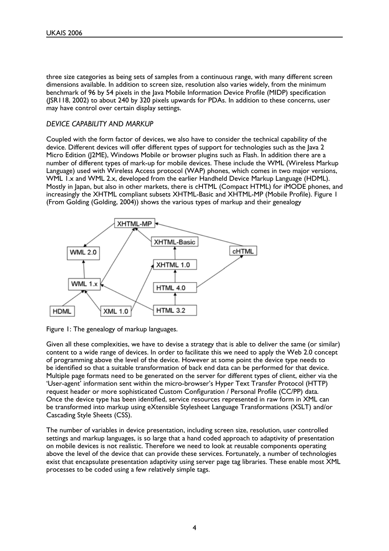three size categories as being sets of samples from a continuous range, with many different screen dimensions available. In addition to screen size, resolution also varies widely, from the minimum benchmark of 96 by 54 pixels in the Java Mobile Information Device Profile (MIDP) specification (JSR118, 2002) to about 240 by 320 pixels upwards for PDAs. In addition to these concerns, user may have control over certain display settings.

#### *DEVICE CAPABILITY AND MARKUP*

Coupled with the form factor of devices, we also have to consider the technical capability of the device. Different devices will offer different types of support for technologies such as the Java 2 Micro Edition (J2ME), Windows Mobile or browser plugins such as Flash. In addition there are a number of different types of mark-up for mobile devices. These include the WML (Wireless Markup Language) used with Wireless Access protocol (WAP) phones, which comes in two major versions, WML 1.x and WML 2.x, developed from the earlier Handheld Device Markup Language (HDML). Mostly in Japan, but also in other markets, there is cHTML (Compact HTML) for iMODE phones, and increasingly the XHTML compliant subsets XHTML-Basic and XHTML-MP (Mobile Profile). Figure 1 (From Golding (Golding, 2004)) shows the various types of markup and their genealogy



Figure 1: The genealogy of markup languages.

Given all these complexities, we have to devise a strategy that is able to deliver the same (or similar) content to a wide range of devices. In order to facilitate this we need to apply the Web 2.0 concept of programming above the level of the device. However at some point the device type needs to be identified so that a suitable transformation of back end data can be performed for that device. Multiple page formats need to be generated on the server for different types of client, either via the 'User-agent' information sent within the micro-browser's Hyper Text Transfer Protocol (HTTP) request header or more sophisticated Custom Configuration / Personal Profile (CC/PP) data. Once the device type has been identified, service resources represented in raw form in XML can be transformed into markup using eXtensible Stylesheet Language Transformations (XSLT) and/or Cascading Style Sheets (CSS).

The number of variables in device presentation, including screen size, resolution, user controlled settings and markup languages, is so large that a hand coded approach to adaptivity of presentation on mobile devices is not realistic. Therefore we need to look at reusable components operating above the level of the device that can provide these services. Fortunately, a number of technologies exist that encapsulate presentation adaptivity using server page tag libraries. These enable most XML processes to be coded using a few relatively simple tags.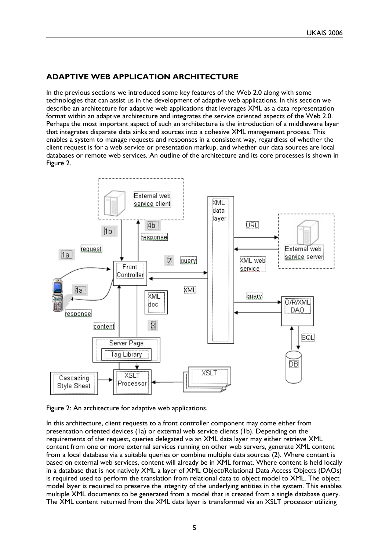# **ADAPTIVE WEB APPLICATION ARCHITECTURE**

In the previous sections we introduced some key features of the Web 2.0 along with some technologies that can assist us in the development of adaptive web applications. In this section we describe an architecture for adaptive web applications that leverages XML as a data representation format within an adaptive architecture and integrates the service oriented aspects of the Web 2.0. Perhaps the most important aspect of such an architecture is the introduction of a middleware layer that integrates disparate data sinks and sources into a cohesive XML management process. This enables a system to manage requests and responses in a consistent way, regardless of whether the client request is for a web service or presentation markup, and whether our data sources are local databases or remote web services. An outline of the architecture and its core processes is shown in Figure 2.



Figure 2: An architecture for adaptive web applications.

In this architecture, client requests to a front controller component may come either from presentation oriented devices (1a) or external web service clients (1b). Depending on the requirements of the request, queries delegated via an XML data layer may either retrieve XML content from one or more external services running on other web servers, generate XML content from a local database via a suitable queries or combine multiple data sources (2). Where content is based on external web services, content will already be in XML format. Where content is held locally in a database that is not natively XML a layer of XML Object/Relational Data Access Objects (DAOs) is required used to perform the translation from relational data to object model to XML. The object model layer is required to preserve the integrity of the underlying entities in the system. This enables multiple XML documents to be generated from a model that is created from a single database query. The XML content returned from the XML data layer is transformed via an XSLT processor utilizing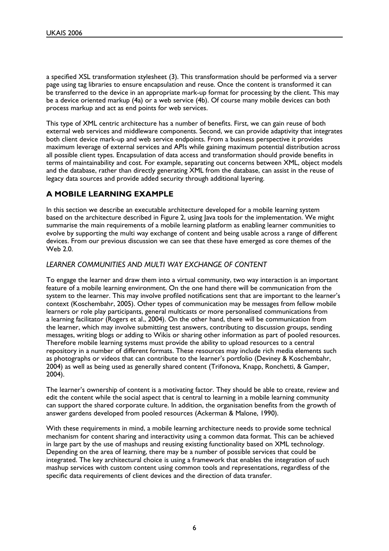a specified XSL transformation stylesheet (3). This transformation should be performed via a server page using tag libraries to ensure encapsulation and reuse. Once the content is transformed it can be transferred to the device in an appropriate mark-up format for processing by the client. This may be a device oriented markup (4a) or a web service (4b). Of course many mobile devices can both process markup and act as end points for web services.

This type of XML centric architecture has a number of benefits. First, we can gain reuse of both external web services and middleware components. Second, we can provide adaptivity that integrates both client device mark-up and web service endpoints. From a business perspective it provides maximum leverage of external services and APIs while gaining maximum potential distribution across all possible client types. Encapsulation of data access and transformation should provide benefits in terms of maintainability and cost. For example, separating out concerns between XML, object models and the database, rather than directly generating XML from the database, can assist in the reuse of legacy data sources and provide added security through additional layering.

# **A MOBILE LEARNING EXAMPLE**

In this section we describe an executable architecture developed for a mobile learning system based on the architecture described in Figure 2, using Java tools for the implementation. We might summarise the main requirements of a mobile learning platform as enabling learner communities to evolve by supporting the multi way exchange of content and being usable across a range of different devices. From our previous discussion we can see that these have emerged as core themes of the Web 2.0.

#### *LEARNER COMMUNITIES AND MULTI WAY EXCHANGE OF CONTENT*

To engage the learner and draw them into a virtual community, two way interaction is an important feature of a mobile learning environment. On the one hand there will be communication from the system to the learner. This may involve profiled notifications sent that are important to the learner's context (Koschembahr, 2005). Other types of communication may be messages from fellow mobile learners or role play participants, general multicasts or more personalised communications from a learning facilitator (Rogers et al., 2004). On the other hand, there will be communication from the learner, which may involve submitting test answers, contributing to discussion groups, sending messages, writing blogs or adding to Wikis or sharing other information as part of pooled resources. Therefore mobile learning systems must provide the ability to upload resources to a central repository in a number of different formats. These resources may include rich media elements such as photographs or videos that can contribute to the learner's portfolio (Deviney & Koschembahr, 2004) as well as being used as generally shared content (Trifonova, Knapp, Ronchetti, & Gamper, 2004).

The learner's ownership of content is a motivating factor. They should be able to create, review and edit the content while the social aspect that is central to learning in a mobile learning community can support the shared corporate culture. In addition, the organisation benefits from the growth of answer gardens developed from pooled resources (Ackerman & Malone, 1990).

With these requirements in mind, a mobile learning architecture needs to provide some technical mechanism for content sharing and interactivity using a common data format. This can be achieved in large part by the use of mashups and reusing existing functionality based on XML technology. Depending on the area of learning, there may be a number of possible services that could be integrated. The key architectural choice is using a framework that enables the integration of such mashup services with custom content using common tools and representations, regardless of the specific data requirements of client devices and the direction of data transfer.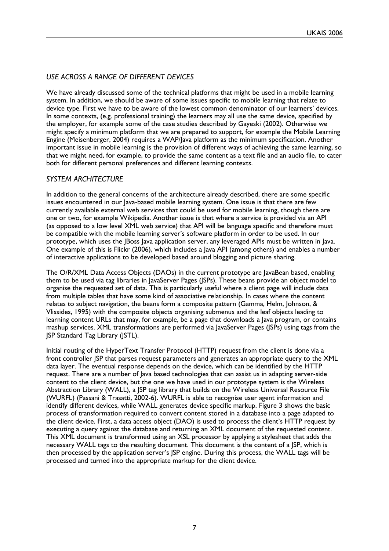# *USE ACROSS A RANGE OF DIFFERENT DEVICES*

We have already discussed some of the technical platforms that might be used in a mobile learning system. In addition, we should be aware of some issues specific to mobile learning that relate to device type. First we have to be aware of the lowest common denominator of our learners' devices. In some contexts, (e.g. professional training) the learners may all use the same device, specified by the employer, for example some of the case studies described by Gayeski (2002). Otherwise we might specify a minimum platform that we are prepared to support, for example the Mobile Learning Engine (Meisenberger, 2004) requires a WAP/lava platform as the minimum specification. Another important issue in mobile learning is the provision of different ways of achieving the same learning, so that we might need, for example, to provide the same content as a text file and an audio file, to cater both for different personal preferences and different learning contexts.

## *SYSTEM ARCHITECTURE*

In addition to the general concerns of the architecture already described, there are some specific issues encountered in our Java-based mobile learning system. One issue is that there are few currently available external web services that could be used for mobile learning, though there are one or two, for example Wikipedia. Another issue is that where a service is provided via an API (as opposed to a low level XML web service) that API will be language specific and therefore must be compatible with the mobile learning server's software platform in order to be used. In our prototype, which uses the JBoss Java application server, any leveraged APIs must be written in Java. One example of this is Flickr (2006), which includes a Java API (among others) and enables a number of interactive applications to be developed based around blogging and picture sharing.

The O/R/XML Data Access Objects (DAOs) in the current prototype are JavaBean based, enabling them to be used via tag libraries in JavaServer Pages (JSPs). These beans provide an object model to organise the requested set of data. This is particularly useful where a client page will include data from multiple tables that have some kind of associative relationship. In cases where the content relates to subject navigation, the beans form a composite pattern (Gamma, Helm, Johnson, & Vlissides, 1995) with the composite objects organising submenus and the leaf objects leading to learning content URLs that may, for example, be a page that downloads a Java program, or contains mashup services. XML transformations are performed via JavaServer Pages (JSPs) using tags from the JSP Standard Tag Library (JSTL).

Initial routing of the HyperText Transfer Protocol (HTTP) request from the client is done via a front controller JSP that parses request parameters and generates an appropriate query to the XML data layer. The eventual response depends on the device, which can be identified by the HTTP request. There are a number of Java based technologies that can assist us in adapting server-side content to the client device, but the one we have used in our prototype system is the Wireless Abstraction Library (WALL), a JSP tag library that builds on the Wireless Universal Resource File (WURFL) (Passani & Trasatti, 2002-6). WURFL is able to recognise user agent information and identify different devices, while WALL generates device specific markup. Figure 3 shows the basic process of transformation required to convert content stored in a database into a page adapted to the client device. First, a data access object (DAO) is used to process the client's HTTP request by executing a query against the database and returning an XML document of the requested content. This XML document is transformed using an XSL processor by applying a stylesheet that adds the necessary WALL tags to the resulting document. This document is the content of a JSP, which is then processed by the application server's ISP engine. During this process, the WALL tags will be processed and turned into the appropriate markup for the client device.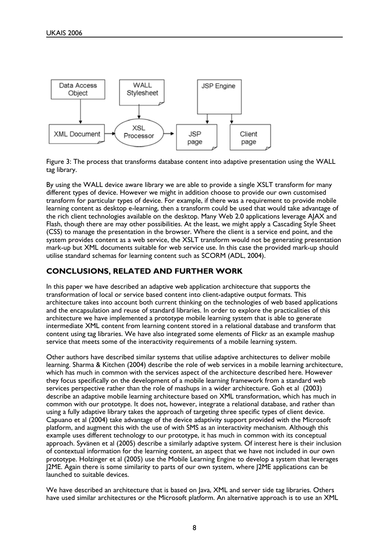

Figure 3: The process that transforms database content into adaptive presentation using the WALL tag library.

By using the WALL device aware library we are able to provide a single XSLT transform for many different types of device. However we might in addition choose to provide our own customised transform for particular types of device. For example, if there was a requirement to provide mobile learning content as desktop e-learning, then a transform could be used that would take advantage of the rich client technologies available on the desktop. Many Web 2.0 applications leverage AJAX and Flash, though there are may other possibilities. At the least, we might apply a Cascading Style Sheet (CSS) to manage the presentation in the browser. Where the client is a service end point, and the system provides content as a web service, the XSLT transform would not be generating presentation mark-up but XML documents suitable for web service use. In this case the provided mark-up should utilise standard schemas for learning content such as SCORM (ADL, 2004).

#### **CONCLUSIONS, RELATED AND FURTHER WORK**

In this paper we have described an adaptive web application architecture that supports the transformation of local or service based content into client-adaptive output formats. This architecture takes into account both current thinking on the technologies of web based applications and the encapsulation and reuse of standard libraries. In order to explore the practicalities of this architecture we have implemented a prototype mobile learning system that is able to generate intermediate XML content from learning content stored in a relational database and transform that content using tag libraries. We have also integrated some elements of Flickr as an example mashup service that meets some of the interactivity requirements of a mobile learning system.

Other authors have described similar systems that utilise adaptive architectures to deliver mobile learning. Sharma & Kitchen (2004) describe the role of web services in a mobile learning architecture, which has much in common with the services aspect of the architecture described here. However they focus specifically on the development of a mobile learning framework from a standard web services perspective rather than the role of mashups in a wider architecture. Goh et al (2003) describe an adaptive mobile learning architecture based on XML transformation, which has much in common with our prototype. It does not, however, integrate a relational database, and rather than using a fully adaptive library takes the approach of targeting three specific types of client device. Capuano et al (2004) take advantage of the device adaptivity support provided with the Microsoft platform, and augment this with the use of with SMS as an interactivity mechanism. Although this example uses different technology to our prototype, it has much in common with its conceptual approach. Syvänen et al (2005) describe a similarly adaptive system. Of interest here is their inclusion of contextual information for the learning content, an aspect that we have not included in our own prototype. Holzinger et al (2005) use the Mobile Learning Engine to develop a system that leverages J2ME. Again there is some similarity to parts of our own system, where J2ME applications can be launched to suitable devices.

We have described an architecture that is based on Java, XML and server side tag libraries. Others have used similar architectures or the Microsoft platform. An alternative approach is to use an XML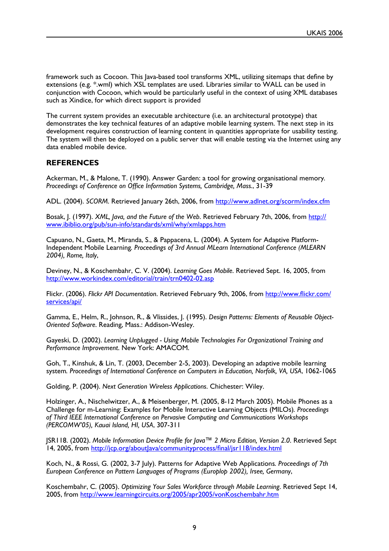framework such as Cocoon. This Java-based tool transforms XML, utilizing sitemaps that define by extensions (e.g. \*.wml) which XSL templates are used. Libraries similar to WALL can be used in conjunction with Cocoon, which would be particularly useful in the context of using XML databases such as Xindice, for which direct support is provided

The current system provides an executable architecture (i.e. an architectural prototype) that demonstrates the key technical features of an adaptive mobile learning system. The next step in its development requires construction of learning content in quantities appropriate for usability testing. The system will then be deployed on a public server that will enable testing via the Internet using any data enabled mobile device.

## **REFERENCES**

Ackerman, M., & Malone, T. (1990). Answer Garden: a tool for growing organisational memory*. Proceedings of Conference on Offi ce Information Systems, Cambridge, Mass.*, 31-39

ADL. (2004). *SCORM*. Retrieved January 26th, 2006, from http://www.adlnet.org/scorm/index.cfm

Bosak, J. (1997). *XML, Java, and the Future of the Web*. Retrieved February 7th, 2006, from http:// www.ibiblio.org/pub/sun-info/standards/xml/why/xmlapps.htm

Capuano, N., Gaeta, M., Miranda, S., & Pappacena, L. (2004). A System for Adaptive Platform-Independent Mobile Learning*. Proceedings of 3rd Annual MLearn International Conference (MLEARN 2004), Rome, Italy*,

Deviney, N., & Koschembahr, C. V. (2004). *Learning Goes Mobile*. Retrieved Sept. 16, 2005, from http://www.workindex.com/editorial/train/trn0402-02.asp

Flickr. (2006). *Flickr API Documentation*. Retrieved February 9th, 2006, from http://www.flickr.com/ services/api/

Gamma, E., Helm, R., Johnson, R., & Vlissides, J. (1995). *Design Patterns: Elements of Reusable Object-Oriented Software*. Reading, Mass.: Addison-Wesley.

Gayeski, D. (2002). *Learning Unplugged - Using Mobile Technologies For Organizational Training and Performance Improvement*. New York: AMACOM.

Goh, T., Kinshuk, & Lin, T. (2003, December 2-5, 2003). Developing an adaptive mobile learning system*. Proceedings of International Conference on Computers in Education, Norfolk, VA, USA*, 1062-1065

Golding, P. (2004). *Next Generation Wireless Applications*. Chichester: Wiley.

Holzinger, A., Nischelwitzer, A., & Meisenberger, M. (2005, 8-12 March 2005). Mobile Phones as a Challenge for m-Learning: Examples for Mobile Interactive Learning Objects (MILOs)*. Proceedings of Third IEEE International Conference on Pervasive Computing and Communications Workshops (PERCOMWí05), Kauai Island, HI, USA*, 307-311

JSR118. (2002). Mobile Information Device Profile for Java™ 2 Micro Edition, Version 2.0. Retrieved Sept 14, 2005, from http://jcp.org/aboutlava/communityprocess/final/jsr118/index.html

Koch, N., & Rossi, G. (2002, 3-7 July). Patterns for Adaptive Web Applications*. Proceedings of 7th European Conference on Pattern Languages of Programs (Europlop 2002), Irsee, Germany*,

Koschembahr, C. (2005). *Optimizing Your Sales Workforce through Mobile Learning*. Retrieved Sept 14, 2005, from http://www.learningcircuits.org/2005/apr2005/vonKoschembahr.htm